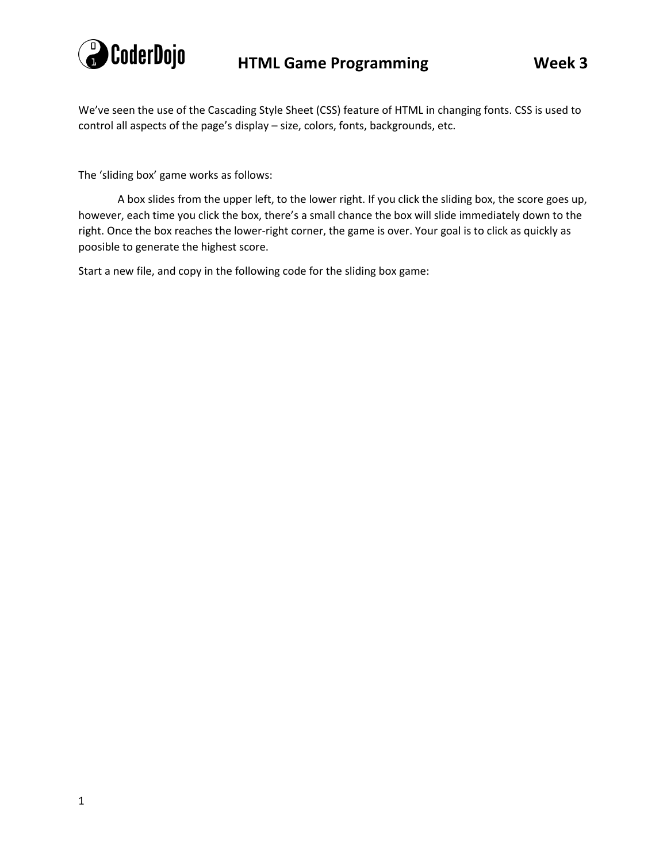

We've seen the use of the Cascading Style Sheet (CSS) feature of HTML in changing fonts. CSS is used to control all aspects of the page's display – size, colors, fonts, backgrounds, etc.

The 'sliding box' game works as follows:

A box slides from the upper left, to the lower right. If you click the sliding box, the score goes up, however, each time you click the box, there's a small chance the box will slide immediately down to the right. Once the box reaches the lower-right corner, the game is over. Your goal is to click as quickly as poosible to generate the highest score.

Start a new file, and copy in the following code for the sliding box game: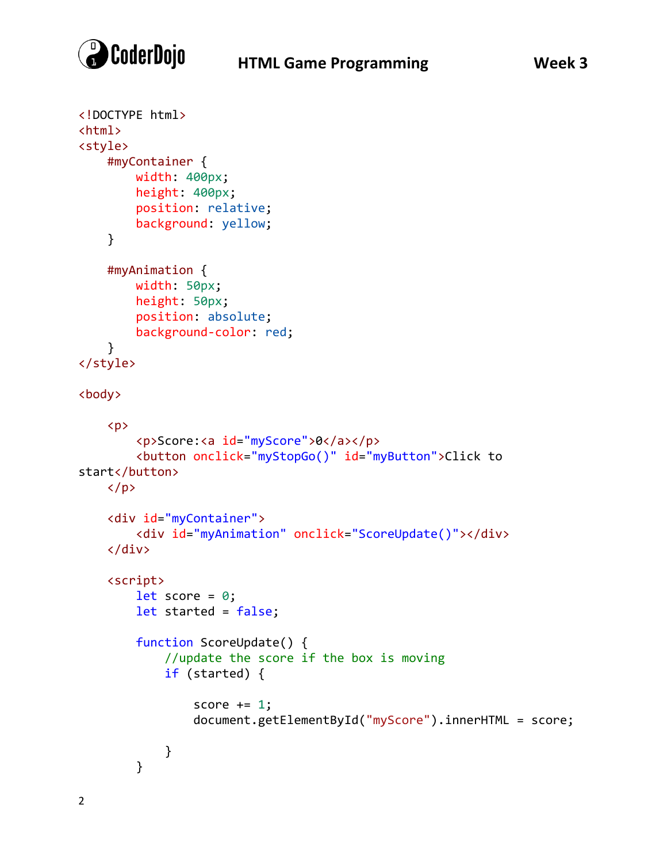

```
<!DOCTYPE html>
<html>
<style>
     #myContainer {
         width: 400px;
         height: 400px;
         position: relative;
         background: yellow;
     }
     #myAnimation {
         width: 50px;
         height: 50px;
         position: absolute;
         background-color: red;
     }
</style>
<body>
    \langle p \rangle <p>Score:<a id="myScore">0</a></p>
         <button onclick="myStopGo()" id="myButton">Click to 
start</button>
    \langle/p>
     <div id="myContainer">
         <div id="myAnimation" onclick="ScoreUpdate()"></div>
     </div>
     <script>
        let score = 0;
         let started = false;
         function ScoreUpdate() {
             //update the score if the box is moving
              if (started) {
                 score += 1; document.getElementById("myScore").innerHTML = score;
 }
         }
```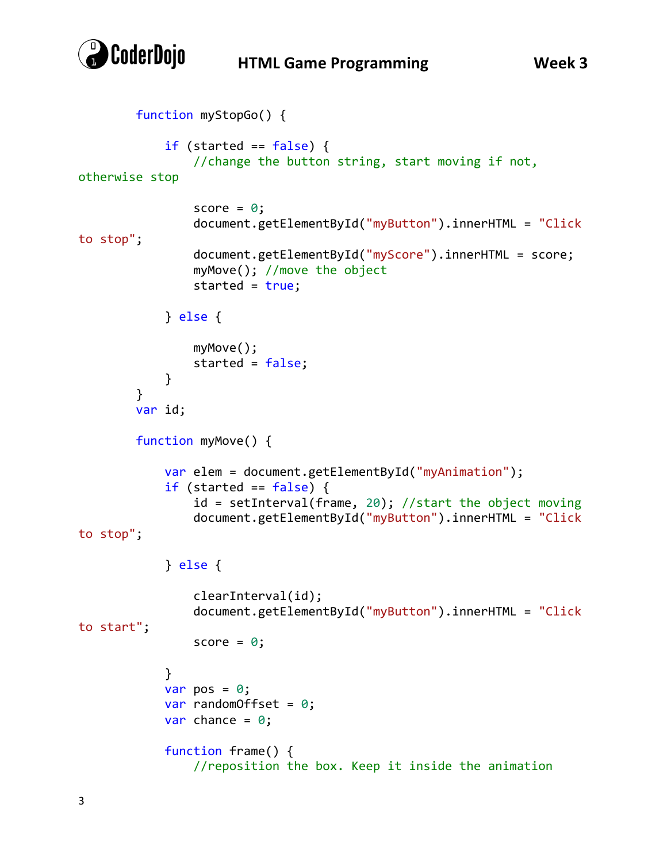

## **HTML Game Programming Week 3**

```
 function myStopGo() {
            if (started == false) {
                 //change the button string, start moving if not, 
otherwise stop
                score = 0; document.getElementById("myButton").innerHTML = "Click 
to stop";
                 document.getElementById("myScore").innerHTML = score;
                 myMove(); //move the object
                 started = true;
             } else {
                 myMove();
            started = false;<br>}
 }
         }
         var id;
         function myMove() {
             var elem = document.getElementById("myAnimation");
            if (started == false) {
                 id = setInterval(frame, 20); //start the object moving
                 document.getElementById("myButton").innerHTML = "Click 
to stop";
             } else {
                 clearInterval(id);
                 document.getElementById("myButton").innerHTML = "Click 
to start";
                score = 0; }
            var pos = 0;
            var randomOffset = 0;
            var chance = 0;
             function frame() {
                 //reposition the box. Keep it inside the animation
```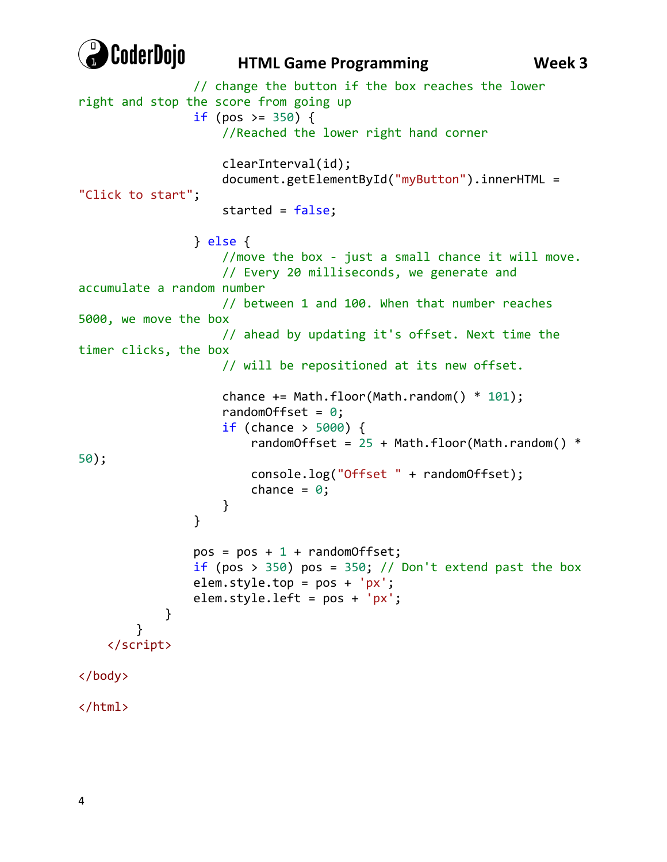

## **HTML Game Programming Week 3**

```
 // change the button if the box reaches the lower 
right and stop the score from going up
               if (pos >= 350) {
                    //Reached the lower right hand corner
                    clearInterval(id);
                   document.getElementById("myButton").innerHTML = 
"Click to start";
                    started = false;
                } else {
                    //move the box - just a small chance it will move. 
                    // Every 20 milliseconds, we generate and 
accumulate a random number
                    // between 1 and 100. When that number reaches 
5000, we move the box
                    // ahead by updating it's offset. Next time the 
timer clicks, the box
                    // will be repositioned at its new offset.
                   chance += Math.floor(Math.random() * 101);
                   randomOffset = 0;
                   if (chance > 5000) {
                       randomOffset = 25 + Math.floatOor(Math.random() *
50);
                        console.log("Offset " + randomOffset);
                       chance = 0;
 }
 }
               pos = pos + 1 + randomOffset;if (pos > 350) pos = 350; // Don't extend past the box
               element.*cop = pos + 'px'; elem.style.left = pos + 'px';
 }
         }
    </script>
</body>
</html>
```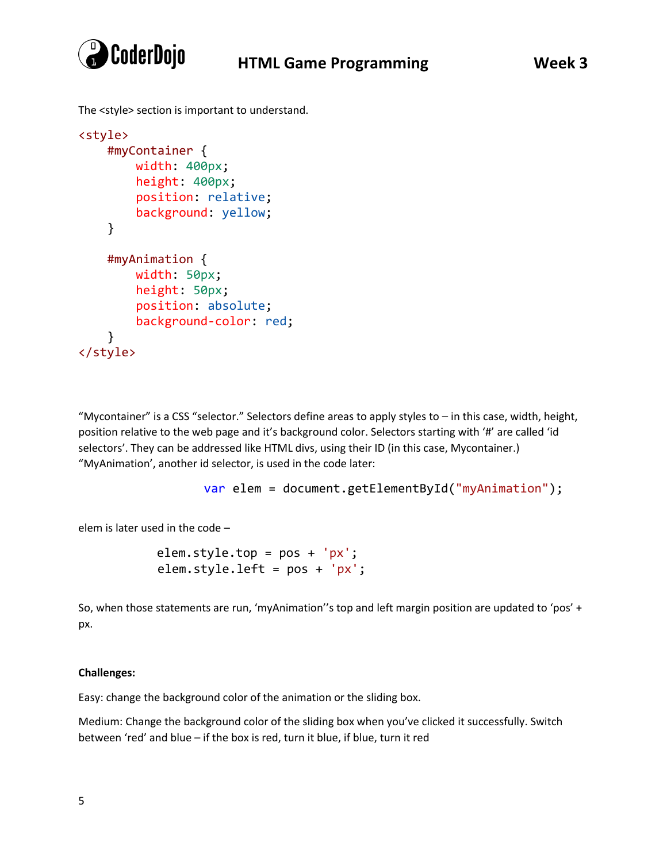

The <style> section is important to understand.

```
<style>
     #myContainer {
         width: 400px;
         height: 400px;
         position: relative;
         background: yellow;
     }
     #myAnimation {
         width: 50px;
         height: 50px;
         position: absolute;
         background-color: red;
     }
</style>
```
"Mycontainer" is a CSS "selector." Selectors define areas to apply styles to – in this case, width, height, position relative to the web page and it's background color. Selectors starting with '#' are called 'id selectors'. They can be addressed like HTML divs, using their ID (in this case, Mycontainer.) "MyAnimation', another id selector, is used in the code later:

```
 var elem = document.getElementById("myAnimation");
```
elem is later used in the code –

elem.style.top = pos + 'px'; elem.style.left = pos + 'px';

So, when those statements are run, 'myAnimation''s top and left margin position are updated to 'pos' + px.

## **Challenges:**

Easy: change the background color of the animation or the sliding box.

Medium: Change the background color of the sliding box when you've clicked it successfully. Switch between 'red' and blue – if the box is red, turn it blue, if blue, turn it red